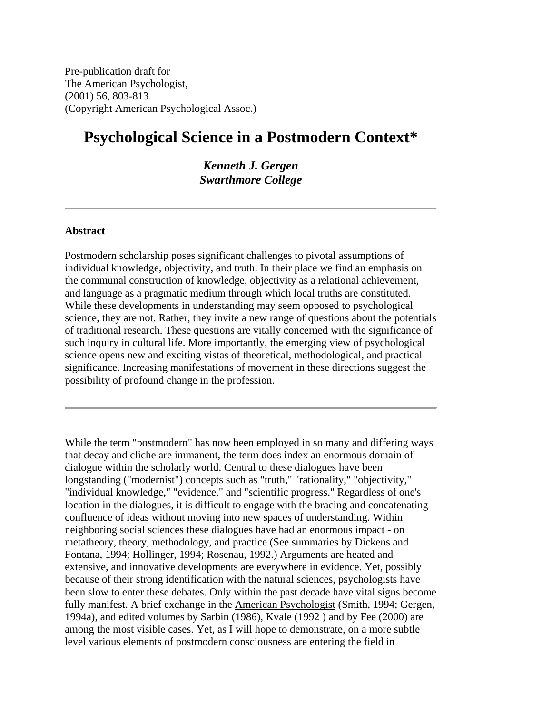Pre-publication draft for The American Psychologist, (2001) 56, 803-813. (Copyright American Psychological Assoc.)

# **Psychological Science in a Postmodern Context\***

*Kenneth J. Gergen Swarthmore College*

#### **Abstract**

Postmodern scholarship poses significant challenges to pivotal assumptions of individual knowledge, objectivity, and truth. In their place we find an emphasis on the communal construction of knowledge, objectivity as a relational achievement, and language as a pragmatic medium through which local truths are constituted. While these developments in understanding may seem opposed to psychological science, they are not. Rather, they invite a new range of questions about the potentials of traditional research. These questions are vitally concerned with the significance of such inquiry in cultural life. More importantly, the emerging view of psychological science opens new and exciting vistas of theoretical, methodological, and practical significance. Increasing manifestations of movement in these directions suggest the possibility of profound change in the profession.

While the term "postmodern" has now been employed in so many and differing ways that decay and cliche are immanent, the term does index an enormous domain of dialogue within the scholarly world. Central to these dialogues have been longstanding ("modernist") concepts such as "truth," "rationality," "objectivity," "individual knowledge," "evidence," and "scientific progress." Regardless of one's location in the dialogues, it is difficult to engage with the bracing and concatenating confluence of ideas without moving into new spaces of understanding. Within neighboring social sciences these dialogues have had an enormous impact - on metatheory, theory, methodology, and practice (See summaries by Dickens and Fontana, 1994; Hollinger, 1994; Rosenau, 1992.) Arguments are heated and extensive, and innovative developments are everywhere in evidence. Yet, possibly because of their strong identification with the natural sciences, psychologists have been slow to enter these debates. Only within the past decade have vital signs become fully manifest. A brief exchange in the American Psychologist (Smith, 1994; Gergen, 1994a), and edited volumes by Sarbin (1986), Kvale (1992 ) and by Fee (2000) are among the most visible cases. Yet, as I will hope to demonstrate, on a more subtle level various elements of postmodern consciousness are entering the field in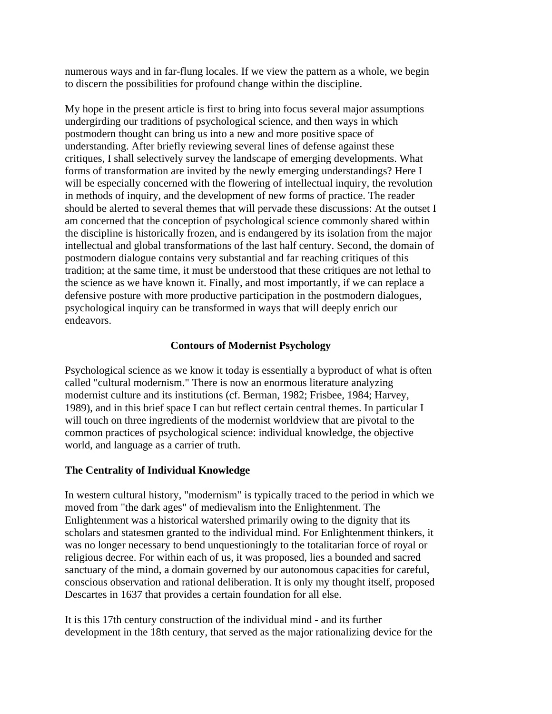numerous ways and in far-flung locales. If we view the pattern as a whole, we begin to discern the possibilities for profound change within the discipline.

My hope in the present article is first to bring into focus several major assumptions undergirding our traditions of psychological science, and then ways in which postmodern thought can bring us into a new and more positive space of understanding. After briefly reviewing several lines of defense against these critiques, I shall selectively survey the landscape of emerging developments. What forms of transformation are invited by the newly emerging understandings? Here I will be especially concerned with the flowering of intellectual inquiry, the revolution in methods of inquiry, and the development of new forms of practice. The reader should be alerted to several themes that will pervade these discussions: At the outset I am concerned that the conception of psychological science commonly shared within the discipline is historically frozen, and is endangered by its isolation from the major intellectual and global transformations of the last half century. Second, the domain of postmodern dialogue contains very substantial and far reaching critiques of this tradition; at the same time, it must be understood that these critiques are not lethal to the science as we have known it. Finally, and most importantly, if we can replace a defensive posture with more productive participation in the postmodern dialogues, psychological inquiry can be transformed in ways that will deeply enrich our endeavors.

# **Contours of Modernist Psychology**

Psychological science as we know it today is essentially a byproduct of what is often called "cultural modernism." There is now an enormous literature analyzing modernist culture and its institutions (cf. Berman, 1982; Frisbee, 1984; Harvey, 1989), and in this brief space I can but reflect certain central themes. In particular I will touch on three ingredients of the modernist worldview that are pivotal to the common practices of psychological science: individual knowledge, the objective world, and language as a carrier of truth.

# **The Centrality of Individual Knowledge**

In western cultural history, "modernism" is typically traced to the period in which we moved from "the dark ages" of medievalism into the Enlightenment. The Enlightenment was a historical watershed primarily owing to the dignity that its scholars and statesmen granted to the individual mind. For Enlightenment thinkers, it was no longer necessary to bend unquestioningly to the totalitarian force of royal or religious decree. For within each of us, it was proposed, lies a bounded and sacred sanctuary of the mind, a domain governed by our autonomous capacities for careful, conscious observation and rational deliberation. It is only my thought itself, proposed Descartes in 1637 that provides a certain foundation for all else.

It is this 17th century construction of the individual mind - and its further development in the 18th century, that served as the major rationalizing device for the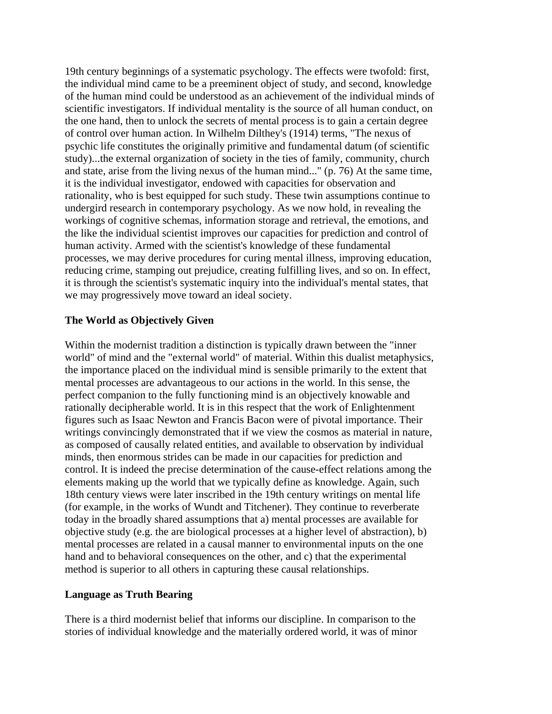19th century beginnings of a systematic psychology. The effects were twofold: first, the individual mind came to be a preeminent object of study, and second, knowledge of the human mind could be understood as an achievement of the individual minds of scientific investigators. If individual mentality is the source of all human conduct, on the one hand, then to unlock the secrets of mental process is to gain a certain degree of control over human action. In Wilhelm Dilthey's (1914) terms, "The nexus of psychic life constitutes the originally primitive and fundamental datum (of scientific study)...the external organization of society in the ties of family, community, church and state, arise from the living nexus of the human mind..." (p. 76) At the same time, it is the individual investigator, endowed with capacities for observation and rationality, who is best equipped for such study. These twin assumptions continue to undergird research in contemporary psychology. As we now hold, in revealing the workings of cognitive schemas, information storage and retrieval, the emotions, and the like the individual scientist improves our capacities for prediction and control of human activity. Armed with the scientist's knowledge of these fundamental processes, we may derive procedures for curing mental illness, improving education, reducing crime, stamping out prejudice, creating fulfilling lives, and so on. In effect, it is through the scientist's systematic inquiry into the individual's mental states, that we may progressively move toward an ideal society.

### **The World as Objectively Given**

Within the modernist tradition a distinction is typically drawn between the "inner world" of mind and the "external world" of material. Within this dualist metaphysics, the importance placed on the individual mind is sensible primarily to the extent that mental processes are advantageous to our actions in the world. In this sense, the perfect companion to the fully functioning mind is an objectively knowable and rationally decipherable world. It is in this respect that the work of Enlightenment figures such as Isaac Newton and Francis Bacon were of pivotal importance. Their writings convincingly demonstrated that if we view the cosmos as material in nature, as composed of causally related entities, and available to observation by individual minds, then enormous strides can be made in our capacities for prediction and control. It is indeed the precise determination of the cause-effect relations among the elements making up the world that we typically define as knowledge. Again, such 18th century views were later inscribed in the 19th century writings on mental life (for example, in the works of Wundt and Titchener). They continue to reverberate today in the broadly shared assumptions that a) mental processes are available for objective study (e.g. the are biological processes at a higher level of abstraction), b) mental processes are related in a causal manner to environmental inputs on the one hand and to behavioral consequences on the other, and c) that the experimental method is superior to all others in capturing these causal relationships.

#### **Language as Truth Bearing**

There is a third modernist belief that informs our discipline. In comparison to the stories of individual knowledge and the materially ordered world, it was of minor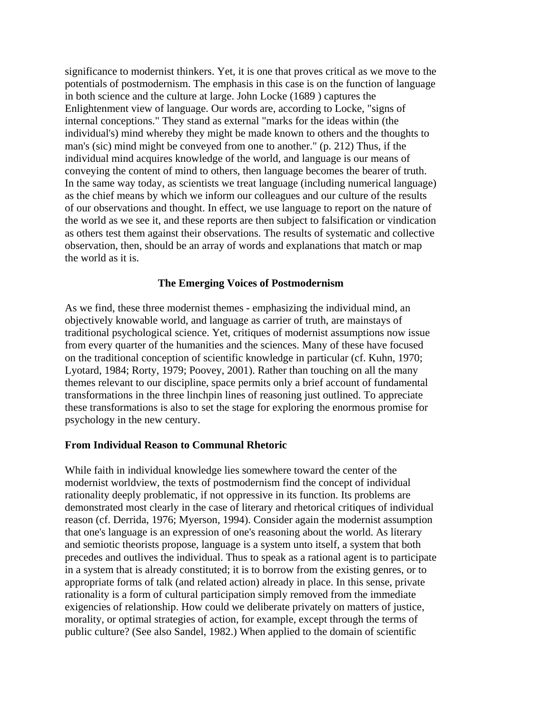significance to modernist thinkers. Yet, it is one that proves critical as we move to the potentials of postmodernism. The emphasis in this case is on the function of language in both science and the culture at large. John Locke (1689 ) captures the Enlightenment view of language. Our words are, according to Locke, "signs of internal conceptions." They stand as external "marks for the ideas within (the individual's) mind whereby they might be made known to others and the thoughts to man's (sic) mind might be conveyed from one to another." (p. 212) Thus, if the individual mind acquires knowledge of the world, and language is our means of conveying the content of mind to others, then language becomes the bearer of truth. In the same way today, as scientists we treat language (including numerical language) as the chief means by which we inform our colleagues and our culture of the results of our observations and thought. In effect, we use language to report on the nature of the world as we see it, and these reports are then subject to falsification or vindication as others test them against their observations. The results of systematic and collective observation, then, should be an array of words and explanations that match or map the world as it is.

### **The Emerging Voices of Postmodernism**

As we find, these three modernist themes - emphasizing the individual mind, an objectively knowable world, and language as carrier of truth, are mainstays of traditional psychological science. Yet, critiques of modernist assumptions now issue from every quarter of the humanities and the sciences. Many of these have focused on the traditional conception of scientific knowledge in particular (cf. Kuhn, 1970; Lyotard, 1984; Rorty, 1979; Poovey, 2001). Rather than touching on all the many themes relevant to our discipline, space permits only a brief account of fundamental transformations in the three linchpin lines of reasoning just outlined. To appreciate these transformations is also to set the stage for exploring the enormous promise for psychology in the new century.

#### **From Individual Reason to Communal Rhetoric**

While faith in individual knowledge lies somewhere toward the center of the modernist worldview, the texts of postmodernism find the concept of individual rationality deeply problematic, if not oppressive in its function. Its problems are demonstrated most clearly in the case of literary and rhetorical critiques of individual reason (cf. Derrida, 1976; Myerson, 1994). Consider again the modernist assumption that one's language is an expression of one's reasoning about the world. As literary and semiotic theorists propose, language is a system unto itself, a system that both precedes and outlives the individual. Thus to speak as a rational agent is to participate in a system that is already constituted; it is to borrow from the existing genres, or to appropriate forms of talk (and related action) already in place. In this sense, private rationality is a form of cultural participation simply removed from the immediate exigencies of relationship. How could we deliberate privately on matters of justice, morality, or optimal strategies of action, for example, except through the terms of public culture? (See also Sandel, 1982.) When applied to the domain of scientific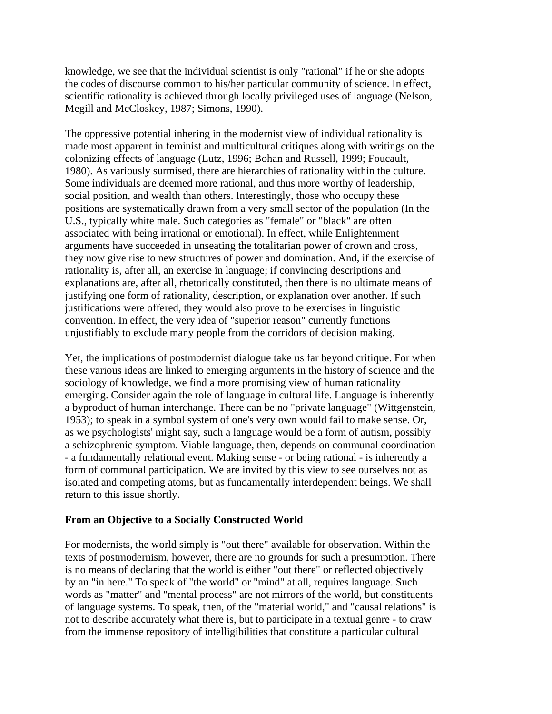knowledge, we see that the individual scientist is only "rational" if he or she adopts the codes of discourse common to his/her particular community of science. In effect, scientific rationality is achieved through locally privileged uses of language (Nelson, Megill and McCloskey, 1987; Simons, 1990).

The oppressive potential inhering in the modernist view of individual rationality is made most apparent in feminist and multicultural critiques along with writings on the colonizing effects of language (Lutz, 1996; Bohan and Russell, 1999; Foucault, 1980). As variously surmised, there are hierarchies of rationality within the culture. Some individuals are deemed more rational, and thus more worthy of leadership, social position, and wealth than others. Interestingly, those who occupy these positions are systematically drawn from a very small sector of the population (In the U.S., typically white male. Such categories as "female" or "black" are often associated with being irrational or emotional). In effect, while Enlightenment arguments have succeeded in unseating the totalitarian power of crown and cross, they now give rise to new structures of power and domination. And, if the exercise of rationality is, after all, an exercise in language; if convincing descriptions and explanations are, after all, rhetorically constituted, then there is no ultimate means of justifying one form of rationality, description, or explanation over another. If such justifications were offered, they would also prove to be exercises in linguistic convention. In effect, the very idea of "superior reason" currently functions unjustifiably to exclude many people from the corridors of decision making.

Yet, the implications of postmodernist dialogue take us far beyond critique. For when these various ideas are linked to emerging arguments in the history of science and the sociology of knowledge, we find a more promising view of human rationality emerging. Consider again the role of language in cultural life. Language is inherently a byproduct of human interchange. There can be no "private language" (Wittgenstein, 1953); to speak in a symbol system of one's very own would fail to make sense. Or, as we psychologists' might say, such a language would be a form of autism, possibly a schizophrenic symptom. Viable language, then, depends on communal coordination - a fundamentally relational event. Making sense - or being rational - is inherently a form of communal participation. We are invited by this view to see ourselves not as isolated and competing atoms, but as fundamentally interdependent beings. We shall return to this issue shortly.

# **From an Objective to a Socially Constructed World**

For modernists, the world simply is "out there" available for observation. Within the texts of postmodernism, however, there are no grounds for such a presumption. There is no means of declaring that the world is either "out there" or reflected objectively by an "in here." To speak of "the world" or "mind" at all, requires language. Such words as "matter" and "mental process" are not mirrors of the world, but constituents of language systems. To speak, then, of the "material world," and "causal relations" is not to describe accurately what there is, but to participate in a textual genre - to draw from the immense repository of intelligibilities that constitute a particular cultural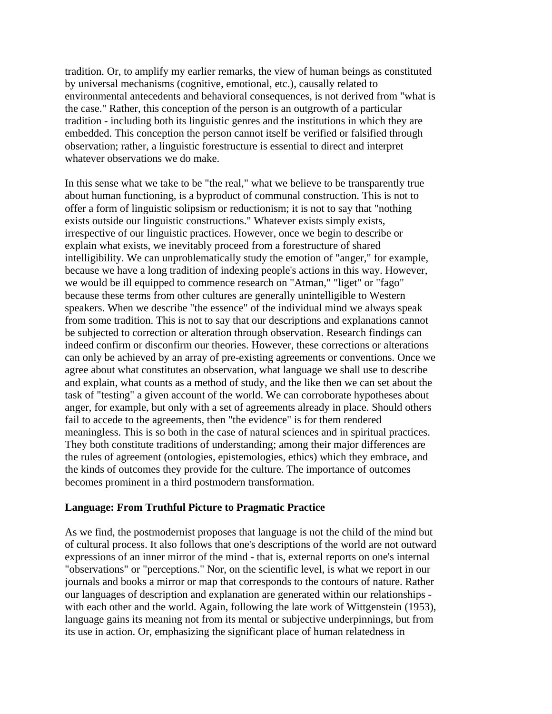tradition. Or, to amplify my earlier remarks, the view of human beings as constituted by universal mechanisms (cognitive, emotional, etc.), causally related to environmental antecedents and behavioral consequences, is not derived from "what is the case." Rather, this conception of the person is an outgrowth of a particular tradition - including both its linguistic genres and the institutions in which they are embedded. This conception the person cannot itself be verified or falsified through observation; rather, a linguistic forestructure is essential to direct and interpret whatever observations we do make.

In this sense what we take to be "the real," what we believe to be transparently true about human functioning, is a byproduct of communal construction. This is not to offer a form of linguistic solipsism or reductionism; it is not to say that "nothing exists outside our linguistic constructions." Whatever exists simply exists, irrespective of our linguistic practices. However, once we begin to describe or explain what exists, we inevitably proceed from a forestructure of shared intelligibility. We can unproblematically study the emotion of "anger," for example, because we have a long tradition of indexing people's actions in this way. However, we would be ill equipped to commence research on "Atman," "liget" or "fago" because these terms from other cultures are generally unintelligible to Western speakers. When we describe "the essence" of the individual mind we always speak from some tradition. This is not to say that our descriptions and explanations cannot be subjected to correction or alteration through observation. Research findings can indeed confirm or disconfirm our theories. However, these corrections or alterations can only be achieved by an array of pre-existing agreements or conventions. Once we agree about what constitutes an observation, what language we shall use to describe and explain, what counts as a method of study, and the like then we can set about the task of "testing" a given account of the world. We can corroborate hypotheses about anger, for example, but only with a set of agreements already in place. Should others fail to accede to the agreements, then "the evidence" is for them rendered meaningless. This is so both in the case of natural sciences and in spiritual practices. They both constitute traditions of understanding; among their major differences are the rules of agreement (ontologies, epistemologies, ethics) which they embrace, and the kinds of outcomes they provide for the culture. The importance of outcomes becomes prominent in a third postmodern transformation.

# **Language: From Truthful Picture to Pragmatic Practice**

As we find, the postmodernist proposes that language is not the child of the mind but of cultural process. It also follows that one's descriptions of the world are not outward expressions of an inner mirror of the mind - that is, external reports on one's internal "observations" or "perceptions." Nor, on the scientific level, is what we report in our journals and books a mirror or map that corresponds to the contours of nature. Rather our languages of description and explanation are generated within our relationships with each other and the world. Again, following the late work of Wittgenstein (1953), language gains its meaning not from its mental or subjective underpinnings, but from its use in action. Or, emphasizing the significant place of human relatedness in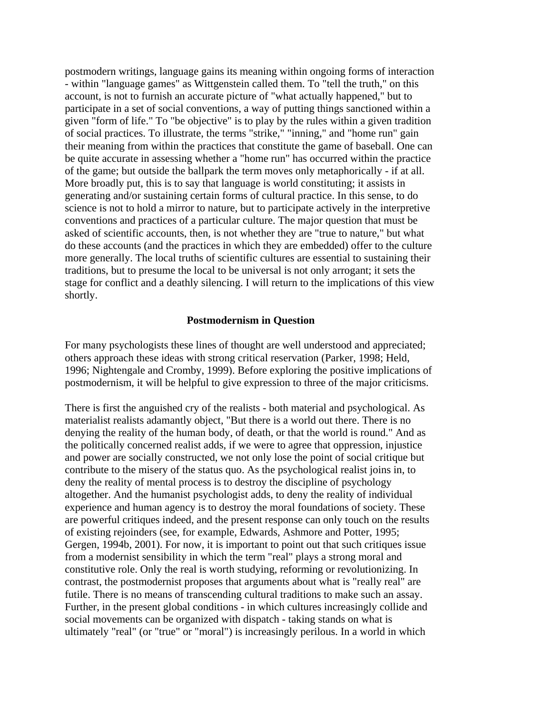postmodern writings, language gains its meaning within ongoing forms of interaction - within "language games" as Wittgenstein called them. To "tell the truth," on this account, is not to furnish an accurate picture of "what actually happened," but to participate in a set of social conventions, a way of putting things sanctioned within a given "form of life." To "be objective" is to play by the rules within a given tradition of social practices. To illustrate, the terms "strike," "inning," and "home run" gain their meaning from within the practices that constitute the game of baseball. One can be quite accurate in assessing whether a "home run" has occurred within the practice of the game; but outside the ballpark the term moves only metaphorically - if at all. More broadly put, this is to say that language is world constituting; it assists in generating and/or sustaining certain forms of cultural practice. In this sense, to do science is not to hold a mirror to nature, but to participate actively in the interpretive conventions and practices of a particular culture. The major question that must be asked of scientific accounts, then, is not whether they are "true to nature," but what do these accounts (and the practices in which they are embedded) offer to the culture more generally. The local truths of scientific cultures are essential to sustaining their traditions, but to presume the local to be universal is not only arrogant; it sets the stage for conflict and a deathly silencing. I will return to the implications of this view shortly.

#### **Postmodernism in Question**

For many psychologists these lines of thought are well understood and appreciated; others approach these ideas with strong critical reservation (Parker, 1998; Held, 1996; Nightengale and Cromby, 1999). Before exploring the positive implications of postmodernism, it will be helpful to give expression to three of the major criticisms.

There is first the anguished cry of the realists - both material and psychological. As materialist realists adamantly object, "But there is a world out there. There is no denying the reality of the human body, of death, or that the world is round." And as the politically concerned realist adds, if we were to agree that oppression, injustice and power are socially constructed, we not only lose the point of social critique but contribute to the misery of the status quo. As the psychological realist joins in, to deny the reality of mental process is to destroy the discipline of psychology altogether. And the humanist psychologist adds, to deny the reality of individual experience and human agency is to destroy the moral foundations of society. These are powerful critiques indeed, and the present response can only touch on the results of existing rejoinders (see, for example, Edwards, Ashmore and Potter, 1995; Gergen, 1994b, 2001). For now, it is important to point out that such critiques issue from a modernist sensibility in which the term "real" plays a strong moral and constitutive role. Only the real is worth studying, reforming or revolutionizing. In contrast, the postmodernist proposes that arguments about what is "really real" are futile. There is no means of transcending cultural traditions to make such an assay. Further, in the present global conditions - in which cultures increasingly collide and social movements can be organized with dispatch - taking stands on what is ultimately "real" (or "true" or "moral") is increasingly perilous. In a world in which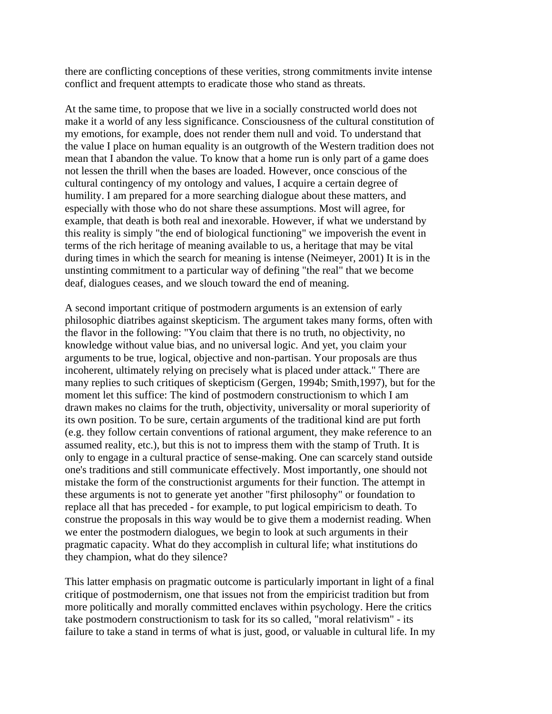there are conflicting conceptions of these verities, strong commitments invite intense conflict and frequent attempts to eradicate those who stand as threats.

At the same time, to propose that we live in a socially constructed world does not make it a world of any less significance. Consciousness of the cultural constitution of my emotions, for example, does not render them null and void. To understand that the value I place on human equality is an outgrowth of the Western tradition does not mean that I abandon the value. To know that a home run is only part of a game does not lessen the thrill when the bases are loaded. However, once conscious of the cultural contingency of my ontology and values, I acquire a certain degree of humility. I am prepared for a more searching dialogue about these matters, and especially with those who do not share these assumptions. Most will agree, for example, that death is both real and inexorable. However, if what we understand by this reality is simply "the end of biological functioning" we impoverish the event in terms of the rich heritage of meaning available to us, a heritage that may be vital during times in which the search for meaning is intense (Neimeyer, 2001) It is in the unstinting commitment to a particular way of defining "the real" that we become deaf, dialogues ceases, and we slouch toward the end of meaning.

A second important critique of postmodern arguments is an extension of early philosophic diatribes against skepticism. The argument takes many forms, often with the flavor in the following: "You claim that there is no truth, no objectivity, no knowledge without value bias, and no universal logic. And yet, you claim your arguments to be true, logical, objective and non-partisan. Your proposals are thus incoherent, ultimately relying on precisely what is placed under attack." There are many replies to such critiques of skepticism (Gergen, 1994b; Smith,1997), but for the moment let this suffice: The kind of postmodern constructionism to which I am drawn makes no claims for the truth, objectivity, universality or moral superiority of its own position. To be sure, certain arguments of the traditional kind are put forth (e.g. they follow certain conventions of rational argument, they make reference to an assumed reality, etc.), but this is not to impress them with the stamp of Truth. It is only to engage in a cultural practice of sense-making. One can scarcely stand outside one's traditions and still communicate effectively. Most importantly, one should not mistake the form of the constructionist arguments for their function. The attempt in these arguments is not to generate yet another "first philosophy" or foundation to replace all that has preceded - for example, to put logical empiricism to death. To construe the proposals in this way would be to give them a modernist reading. When we enter the postmodern dialogues, we begin to look at such arguments in their pragmatic capacity. What do they accomplish in cultural life; what institutions do they champion, what do they silence?

This latter emphasis on pragmatic outcome is particularly important in light of a final critique of postmodernism, one that issues not from the empiricist tradition but from more politically and morally committed enclaves within psychology. Here the critics take postmodern constructionism to task for its so called, "moral relativism" - its failure to take a stand in terms of what is just, good, or valuable in cultural life. In my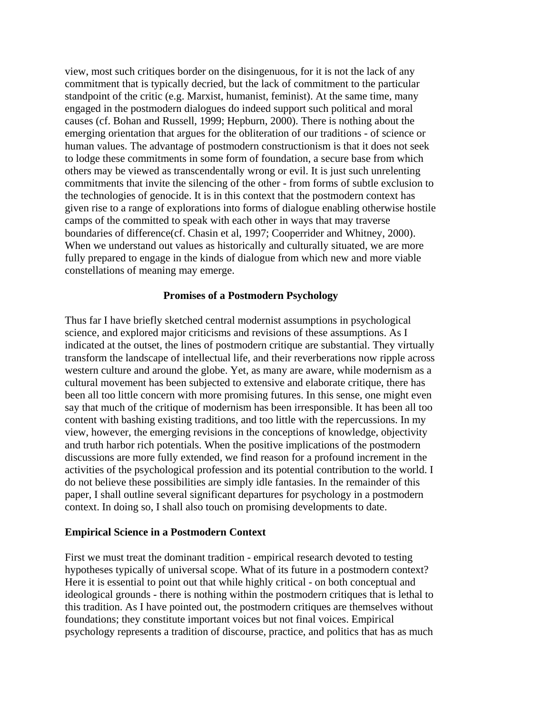view, most such critiques border on the disingenuous, for it is not the lack of any commitment that is typically decried, but the lack of commitment to the particular standpoint of the critic (e.g. Marxist, humanist, feminist). At the same time, many engaged in the postmodern dialogues do indeed support such political and moral causes (cf. Bohan and Russell, 1999; Hepburn, 2000). There is nothing about the emerging orientation that argues for the obliteration of our traditions - of science or human values. The advantage of postmodern constructionism is that it does not seek to lodge these commitments in some form of foundation, a secure base from which others may be viewed as transcendentally wrong or evil. It is just such unrelenting commitments that invite the silencing of the other - from forms of subtle exclusion to the technologies of genocide. It is in this context that the postmodern context has given rise to a range of explorations into forms of dialogue enabling otherwise hostile camps of the committed to speak with each other in ways that may traverse boundaries of difference(cf. Chasin et al, 1997; Cooperrider and Whitney, 2000). When we understand out values as historically and culturally situated, we are more fully prepared to engage in the kinds of dialogue from which new and more viable constellations of meaning may emerge.

### **Promises of a Postmodern Psychology**

Thus far I have briefly sketched central modernist assumptions in psychological science, and explored major criticisms and revisions of these assumptions. As I indicated at the outset, the lines of postmodern critique are substantial. They virtually transform the landscape of intellectual life, and their reverberations now ripple across western culture and around the globe. Yet, as many are aware, while modernism as a cultural movement has been subjected to extensive and elaborate critique, there has been all too little concern with more promising futures. In this sense, one might even say that much of the critique of modernism has been irresponsible. It has been all too content with bashing existing traditions, and too little with the repercussions. In my view, however, the emerging revisions in the conceptions of knowledge, objectivity and truth harbor rich potentials. When the positive implications of the postmodern discussions are more fully extended, we find reason for a profound increment in the activities of the psychological profession and its potential contribution to the world. I do not believe these possibilities are simply idle fantasies. In the remainder of this paper, I shall outline several significant departures for psychology in a postmodern context. In doing so, I shall also touch on promising developments to date.

#### **Empirical Science in a Postmodern Context**

First we must treat the dominant tradition - empirical research devoted to testing hypotheses typically of universal scope. What of its future in a postmodern context? Here it is essential to point out that while highly critical - on both conceptual and ideological grounds - there is nothing within the postmodern critiques that is lethal to this tradition. As I have pointed out, the postmodern critiques are themselves without foundations; they constitute important voices but not final voices. Empirical psychology represents a tradition of discourse, practice, and politics that has as much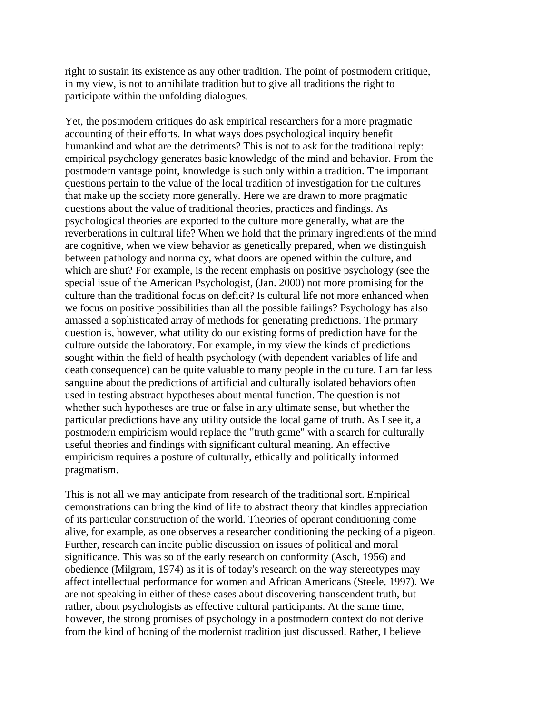right to sustain its existence as any other tradition. The point of postmodern critique, in my view, is not to annihilate tradition but to give all traditions the right to participate within the unfolding dialogues.

Yet, the postmodern critiques do ask empirical researchers for a more pragmatic accounting of their efforts. In what ways does psychological inquiry benefit humankind and what are the detriments? This is not to ask for the traditional reply: empirical psychology generates basic knowledge of the mind and behavior. From the postmodern vantage point, knowledge is such only within a tradition. The important questions pertain to the value of the local tradition of investigation for the cultures that make up the society more generally. Here we are drawn to more pragmatic questions about the value of traditional theories, practices and findings. As psychological theories are exported to the culture more generally, what are the reverberations in cultural life? When we hold that the primary ingredients of the mind are cognitive, when we view behavior as genetically prepared, when we distinguish between pathology and normalcy, what doors are opened within the culture, and which are shut? For example, is the recent emphasis on positive psychology (see the special issue of the American Psychologist, (Jan. 2000) not more promising for the culture than the traditional focus on deficit? Is cultural life not more enhanced when we focus on positive possibilities than all the possible failings? Psychology has also amassed a sophisticated array of methods for generating predictions. The primary question is, however, what utility do our existing forms of prediction have for the culture outside the laboratory. For example, in my view the kinds of predictions sought within the field of health psychology (with dependent variables of life and death consequence) can be quite valuable to many people in the culture. I am far less sanguine about the predictions of artificial and culturally isolated behaviors often used in testing abstract hypotheses about mental function. The question is not whether such hypotheses are true or false in any ultimate sense, but whether the particular predictions have any utility outside the local game of truth. As I see it, a postmodern empiricism would replace the "truth game" with a search for culturally useful theories and findings with significant cultural meaning. An effective empiricism requires a posture of culturally, ethically and politically informed pragmatism.

This is not all we may anticipate from research of the traditional sort. Empirical demonstrations can bring the kind of life to abstract theory that kindles appreciation of its particular construction of the world. Theories of operant conditioning come alive, for example, as one observes a researcher conditioning the pecking of a pigeon. Further, research can incite public discussion on issues of political and moral significance. This was so of the early research on conformity (Asch, 1956) and obedience (Milgram, 1974) as it is of today's research on the way stereotypes may affect intellectual performance for women and African Americans (Steele, 1997). We are not speaking in either of these cases about discovering transcendent truth, but rather, about psychologists as effective cultural participants. At the same time, however, the strong promises of psychology in a postmodern context do not derive from the kind of honing of the modernist tradition just discussed. Rather, I believe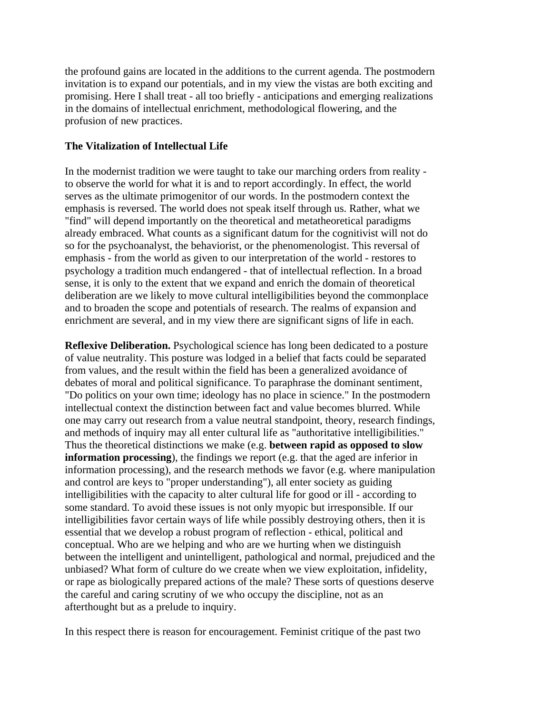the profound gains are located in the additions to the current agenda. The postmodern invitation is to expand our potentials, and in my view the vistas are both exciting and promising. Here I shall treat - all too briefly - anticipations and emerging realizations in the domains of intellectual enrichment, methodological flowering, and the profusion of new practices.

# **The Vitalization of Intellectual Life**

In the modernist tradition we were taught to take our marching orders from reality to observe the world for what it is and to report accordingly. In effect, the world serves as the ultimate primogenitor of our words. In the postmodern context the emphasis is reversed. The world does not speak itself through us. Rather, what we "find" will depend importantly on the theoretical and metatheoretical paradigms already embraced. What counts as a significant datum for the cognitivist will not do so for the psychoanalyst, the behaviorist, or the phenomenologist. This reversal of emphasis - from the world as given to our interpretation of the world - restores to psychology a tradition much endangered - that of intellectual reflection. In a broad sense, it is only to the extent that we expand and enrich the domain of theoretical deliberation are we likely to move cultural intelligibilities beyond the commonplace and to broaden the scope and potentials of research. The realms of expansion and enrichment are several, and in my view there are significant signs of life in each.

**Reflexive Deliberation.** Psychological science has long been dedicated to a posture of value neutrality. This posture was lodged in a belief that facts could be separated from values, and the result within the field has been a generalized avoidance of debates of moral and political significance. To paraphrase the dominant sentiment, "Do politics on your own time; ideology has no place in science." In the postmodern intellectual context the distinction between fact and value becomes blurred. While one may carry out research from a value neutral standpoint, theory, research findings, and methods of inquiry may all enter cultural life as "authoritative intelligibilities." Thus the theoretical distinctions we make (e.g. **between rapid as opposed to slow information processing**), the findings we report (e.g. that the aged are inferior in information processing), and the research methods we favor (e.g. where manipulation and control are keys to "proper understanding"), all enter society as guiding intelligibilities with the capacity to alter cultural life for good or ill - according to some standard. To avoid these issues is not only myopic but irresponsible. If our intelligibilities favor certain ways of life while possibly destroying others, then it is essential that we develop a robust program of reflection - ethical, political and conceptual. Who are we helping and who are we hurting when we distinguish between the intelligent and unintelligent, pathological and normal, prejudiced and the unbiased? What form of culture do we create when we view exploitation, infidelity, or rape as biologically prepared actions of the male? These sorts of questions deserve the careful and caring scrutiny of we who occupy the discipline, not as an afterthought but as a prelude to inquiry.

In this respect there is reason for encouragement. Feminist critique of the past two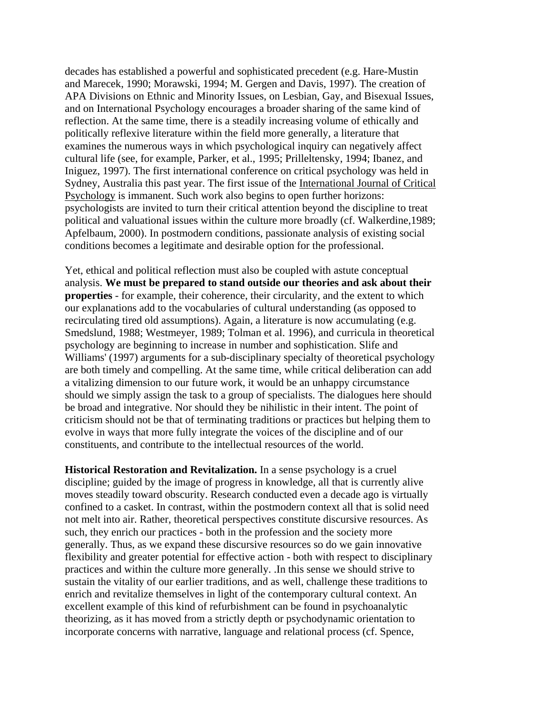decades has established a powerful and sophisticated precedent (e.g. Hare-Mustin and Marecek, 1990; Morawski, 1994; M. Gergen and Davis, 1997). The creation of APA Divisions on Ethnic and Minority Issues, on Lesbian, Gay, and Bisexual Issues, and on International Psychology encourages a broader sharing of the same kind of reflection. At the same time, there is a steadily increasing volume of ethically and politically reflexive literature within the field more generally, a literature that examines the numerous ways in which psychological inquiry can negatively affect cultural life (see, for example, Parker, et al., 1995; Prilleltensky, 1994; Ibanez, and Iniguez, 1997). The first international conference on critical psychology was held in Sydney, Australia this past year. The first issue of the International Journal of Critical Psychology is immanent. Such work also begins to open further horizons: psychologists are invited to turn their critical attention beyond the discipline to treat political and valuational issues within the culture more broadly (cf. Walkerdine,1989; Apfelbaum, 2000). In postmodern conditions, passionate analysis of existing social conditions becomes a legitimate and desirable option for the professional.

Yet, ethical and political reflection must also be coupled with astute conceptual analysis. **We must be prepared to stand outside our theories and ask about their properties** - for example, their coherence, their circularity, and the extent to which our explanations add to the vocabularies of cultural understanding (as opposed to recirculating tired old assumptions). Again, a literature is now accumulating (e.g. Smedslund, 1988; Westmeyer, 1989; Tolman et al. 1996), and curricula in theoretical psychology are beginning to increase in number and sophistication. Slife and Williams' (1997) arguments for a sub-disciplinary specialty of theoretical psychology are both timely and compelling. At the same time, while critical deliberation can add a vitalizing dimension to our future work, it would be an unhappy circumstance should we simply assign the task to a group of specialists. The dialogues here should be broad and integrative. Nor should they be nihilistic in their intent. The point of criticism should not be that of terminating traditions or practices but helping them to evolve in ways that more fully integrate the voices of the discipline and of our constituents, and contribute to the intellectual resources of the world.

**Historical Restoration and Revitalization.** In a sense psychology is a cruel discipline; guided by the image of progress in knowledge, all that is currently alive moves steadily toward obscurity. Research conducted even a decade ago is virtually confined to a casket. In contrast, within the postmodern context all that is solid need not melt into air. Rather, theoretical perspectives constitute discursive resources. As such, they enrich our practices - both in the profession and the society more generally. Thus, as we expand these discursive resources so do we gain innovative flexibility and greater potential for effective action - both with respect to disciplinary practices and within the culture more generally. .In this sense we should strive to sustain the vitality of our earlier traditions, and as well, challenge these traditions to enrich and revitalize themselves in light of the contemporary cultural context. An excellent example of this kind of refurbishment can be found in psychoanalytic theorizing, as it has moved from a strictly depth or psychodynamic orientation to incorporate concerns with narrative, language and relational process (cf. Spence,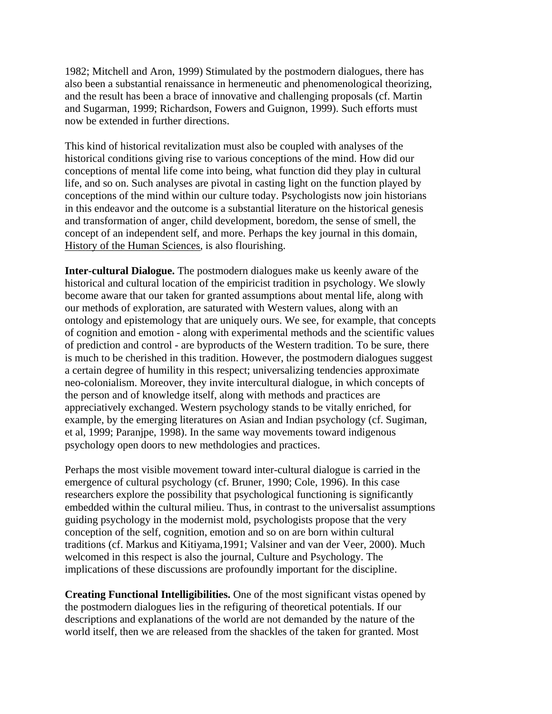1982; Mitchell and Aron, 1999) Stimulated by the postmodern dialogues, there has also been a substantial renaissance in hermeneutic and phenomenological theorizing, and the result has been a brace of innovative and challenging proposals (cf. Martin and Sugarman, 1999; Richardson, Fowers and Guignon, 1999). Such efforts must now be extended in further directions.

This kind of historical revitalization must also be coupled with analyses of the historical conditions giving rise to various conceptions of the mind. How did our conceptions of mental life come into being, what function did they play in cultural life, and so on. Such analyses are pivotal in casting light on the function played by conceptions of the mind within our culture today. Psychologists now join historians in this endeavor and the outcome is a substantial literature on the historical genesis and transformation of anger, child development, boredom, the sense of smell, the concept of an independent self, and more. Perhaps the key journal in this domain, History of the Human Sciences, is also flourishing.

**Inter-cultural Dialogue.** The postmodern dialogues make us keenly aware of the historical and cultural location of the empiricist tradition in psychology. We slowly become aware that our taken for granted assumptions about mental life, along with our methods of exploration, are saturated with Western values, along with an ontology and epistemology that are uniquely ours. We see, for example, that concepts of cognition and emotion - along with experimental methods and the scientific values of prediction and control - are byproducts of the Western tradition. To be sure, there is much to be cherished in this tradition. However, the postmodern dialogues suggest a certain degree of humility in this respect; universalizing tendencies approximate neo-colonialism. Moreover, they invite intercultural dialogue, in which concepts of the person and of knowledge itself, along with methods and practices are appreciatively exchanged. Western psychology stands to be vitally enriched, for example, by the emerging literatures on Asian and Indian psychology (cf. Sugiman, et al, 1999; Paranjpe, 1998). In the same way movements toward indigenous psychology open doors to new methdologies and practices.

Perhaps the most visible movement toward inter-cultural dialogue is carried in the emergence of cultural psychology (cf. Bruner, 1990; Cole, 1996). In this case researchers explore the possibility that psychological functioning is significantly embedded within the cultural milieu. Thus, in contrast to the universalist assumptions guiding psychology in the modernist mold, psychologists propose that the very conception of the self, cognition, emotion and so on are born within cultural traditions (cf. Markus and Kitiyama,1991; Valsiner and van der Veer, 2000). Much welcomed in this respect is also the journal, Culture and Psychology. The implications of these discussions are profoundly important for the discipline.

**Creating Functional Intelligibilities.** One of the most significant vistas opened by the postmodern dialogues lies in the refiguring of theoretical potentials. If our descriptions and explanations of the world are not demanded by the nature of the world itself, then we are released from the shackles of the taken for granted. Most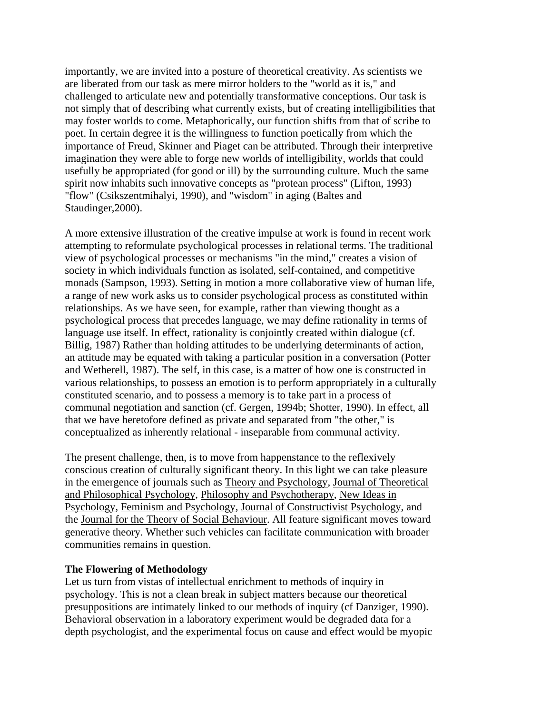importantly, we are invited into a posture of theoretical creativity. As scientists we are liberated from our task as mere mirror holders to the "world as it is," and challenged to articulate new and potentially transformative conceptions. Our task is not simply that of describing what currently exists, but of creating intelligibilities that may foster worlds to come. Metaphorically, our function shifts from that of scribe to poet. In certain degree it is the willingness to function poetically from which the importance of Freud, Skinner and Piaget can be attributed. Through their interpretive imagination they were able to forge new worlds of intelligibility, worlds that could usefully be appropriated (for good or ill) by the surrounding culture. Much the same spirit now inhabits such innovative concepts as "protean process" (Lifton, 1993) "flow" (Csikszentmihalyi, 1990), and "wisdom" in aging (Baltes and Staudinger,2000).

A more extensive illustration of the creative impulse at work is found in recent work attempting to reformulate psychological processes in relational terms. The traditional view of psychological processes or mechanisms "in the mind," creates a vision of society in which individuals function as isolated, self-contained, and competitive monads (Sampson, 1993). Setting in motion a more collaborative view of human life, a range of new work asks us to consider psychological process as constituted within relationships. As we have seen, for example, rather than viewing thought as a psychological process that precedes language, we may define rationality in terms of language use itself. In effect, rationality is conjointly created within dialogue (cf. Billig, 1987) Rather than holding attitudes to be underlying determinants of action, an attitude may be equated with taking a particular position in a conversation (Potter and Wetherell, 1987). The self, in this case, is a matter of how one is constructed in various relationships, to possess an emotion is to perform appropriately in a culturally constituted scenario, and to possess a memory is to take part in a process of communal negotiation and sanction (cf. Gergen, 1994b; Shotter, 1990). In effect, all that we have heretofore defined as private and separated from "the other," is conceptualized as inherently relational - inseparable from communal activity.

The present challenge, then, is to move from happenstance to the reflexively conscious creation of culturally significant theory. In this light we can take pleasure in the emergence of journals such as Theory and Psychology, Journal of Theoretical and Philosophical Psychology, Philosophy and Psychotherapy, New Ideas in Psychology, Feminism and Psychology, Journal of Constructivist Psychology, and the Journal for the Theory of Social Behaviour. All feature significant moves toward generative theory. Whether such vehicles can facilitate communication with broader communities remains in question.

#### **The Flowering of Methodology**

Let us turn from vistas of intellectual enrichment to methods of inquiry in psychology. This is not a clean break in subject matters because our theoretical presuppositions are intimately linked to our methods of inquiry (cf Danziger, 1990). Behavioral observation in a laboratory experiment would be degraded data for a depth psychologist, and the experimental focus on cause and effect would be myopic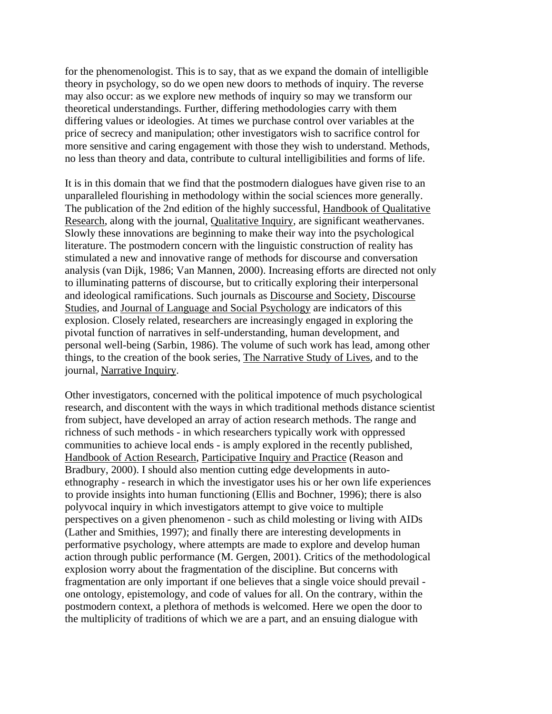for the phenomenologist. This is to say, that as we expand the domain of intelligible theory in psychology, so do we open new doors to methods of inquiry. The reverse may also occur: as we explore new methods of inquiry so may we transform our theoretical understandings. Further, differing methodologies carry with them differing values or ideologies. At times we purchase control over variables at the price of secrecy and manipulation; other investigators wish to sacrifice control for more sensitive and caring engagement with those they wish to understand. Methods, no less than theory and data, contribute to cultural intelligibilities and forms of life.

It is in this domain that we find that the postmodern dialogues have given rise to an unparalleled flourishing in methodology within the social sciences more generally. The publication of the 2nd edition of the highly successful, Handbook of Qualitative Research, along with the journal, Qualitative Inquiry, are significant weathervanes. Slowly these innovations are beginning to make their way into the psychological literature. The postmodern concern with the linguistic construction of reality has stimulated a new and innovative range of methods for discourse and conversation analysis (van Dijk, 1986; Van Mannen, 2000). Increasing efforts are directed not only to illuminating patterns of discourse, but to critically exploring their interpersonal and ideological ramifications. Such journals as Discourse and Society, Discourse Studies, and Journal of Language and Social Psychology are indicators of this explosion. Closely related, researchers are increasingly engaged in exploring the pivotal function of narratives in self-understanding, human development, and personal well-being (Sarbin, 1986). The volume of such work has lead, among other things, to the creation of the book series, The Narrative Study of Lives, and to the journal, Narrative Inquiry.

Other investigators, concerned with the political impotence of much psychological research, and discontent with the ways in which traditional methods distance scientist from subject, have developed an array of action research methods. The range and richness of such methods - in which researchers typically work with oppressed communities to achieve local ends - is amply explored in the recently published, Handbook of Action Research, Participative Inquiry and Practice (Reason and Bradbury, 2000). I should also mention cutting edge developments in autoethnography - research in which the investigator uses his or her own life experiences to provide insights into human functioning (Ellis and Bochner, 1996); there is also polyvocal inquiry in which investigators attempt to give voice to multiple perspectives on a given phenomenon - such as child molesting or living with AIDs (Lather and Smithies, 1997); and finally there are interesting developments in performative psychology, where attempts are made to explore and develop human action through public performance (M. Gergen, 2001). Critics of the methodological explosion worry about the fragmentation of the discipline. But concerns with fragmentation are only important if one believes that a single voice should prevail one ontology, epistemology, and code of values for all. On the contrary, within the postmodern context, a plethora of methods is welcomed. Here we open the door to the multiplicity of traditions of which we are a part, and an ensuing dialogue with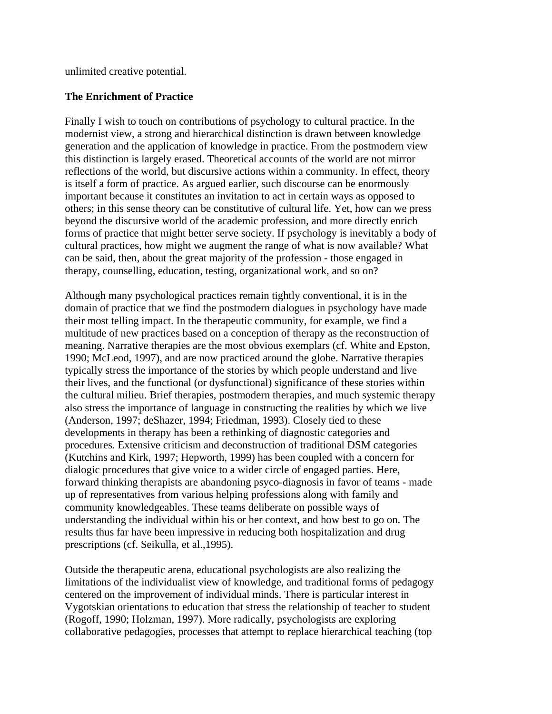unlimited creative potential.

# **The Enrichment of Practice**

Finally I wish to touch on contributions of psychology to cultural practice. In the modernist view, a strong and hierarchical distinction is drawn between knowledge generation and the application of knowledge in practice. From the postmodern view this distinction is largely erased. Theoretical accounts of the world are not mirror reflections of the world, but discursive actions within a community. In effect, theory is itself a form of practice. As argued earlier, such discourse can be enormously important because it constitutes an invitation to act in certain ways as opposed to others; in this sense theory can be constitutive of cultural life. Yet, how can we press beyond the discursive world of the academic profession, and more directly enrich forms of practice that might better serve society. If psychology is inevitably a body of cultural practices, how might we augment the range of what is now available? What can be said, then, about the great majority of the profession - those engaged in therapy, counselling, education, testing, organizational work, and so on?

Although many psychological practices remain tightly conventional, it is in the domain of practice that we find the postmodern dialogues in psychology have made their most telling impact. In the therapeutic community, for example, we find a multitude of new practices based on a conception of therapy as the reconstruction of meaning. Narrative therapies are the most obvious exemplars (cf. White and Epston, 1990; McLeod, 1997), and are now practiced around the globe. Narrative therapies typically stress the importance of the stories by which people understand and live their lives, and the functional (or dysfunctional) significance of these stories within the cultural milieu. Brief therapies, postmodern therapies, and much systemic therapy also stress the importance of language in constructing the realities by which we live (Anderson, 1997; deShazer, 1994; Friedman, 1993). Closely tied to these developments in therapy has been a rethinking of diagnostic categories and procedures. Extensive criticism and deconstruction of traditional DSM categories (Kutchins and Kirk, 1997; Hepworth, 1999) has been coupled with a concern for dialogic procedures that give voice to a wider circle of engaged parties. Here, forward thinking therapists are abandoning psyco-diagnosis in favor of teams - made up of representatives from various helping professions along with family and community knowledgeables. These teams deliberate on possible ways of understanding the individual within his or her context, and how best to go on. The results thus far have been impressive in reducing both hospitalization and drug prescriptions (cf. Seikulla, et al.,1995).

Outside the therapeutic arena, educational psychologists are also realizing the limitations of the individualist view of knowledge, and traditional forms of pedagogy centered on the improvement of individual minds. There is particular interest in Vygotskian orientations to education that stress the relationship of teacher to student (Rogoff, 1990; Holzman, 1997). More radically, psychologists are exploring collaborative pedagogies, processes that attempt to replace hierarchical teaching (top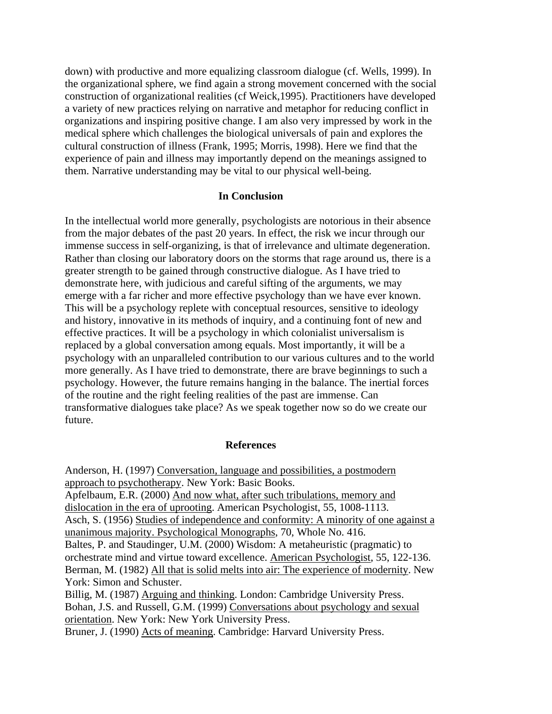down) with productive and more equalizing classroom dialogue (cf. Wells, 1999). In the organizational sphere, we find again a strong movement concerned with the social construction of organizational realities (cf Weick,1995). Practitioners have developed a variety of new practices relying on narrative and metaphor for reducing conflict in organizations and inspiring positive change. I am also very impressed by work in the medical sphere which challenges the biological universals of pain and explores the cultural construction of illness (Frank, 1995; Morris, 1998). Here we find that the experience of pain and illness may importantly depend on the meanings assigned to them. Narrative understanding may be vital to our physical well-being.

#### **In Conclusion**

In the intellectual world more generally, psychologists are notorious in their absence from the major debates of the past 20 years. In effect, the risk we incur through our immense success in self-organizing, is that of irrelevance and ultimate degeneration. Rather than closing our laboratory doors on the storms that rage around us, there is a greater strength to be gained through constructive dialogue. As I have tried to demonstrate here, with judicious and careful sifting of the arguments, we may emerge with a far richer and more effective psychology than we have ever known. This will be a psychology replete with conceptual resources, sensitive to ideology and history, innovative in its methods of inquiry, and a continuing font of new and effective practices. It will be a psychology in which colonialist universalism is replaced by a global conversation among equals. Most importantly, it will be a psychology with an unparalleled contribution to our various cultures and to the world more generally. As I have tried to demonstrate, there are brave beginnings to such a psychology. However, the future remains hanging in the balance. The inertial forces of the routine and the right feeling realities of the past are immense. Can transformative dialogues take place? As we speak together now so do we create our future.

#### **References**

Anderson, H. (1997) Conversation, language and possibilities, a postmodern approach to psychotherapy. New York: Basic Books. Apfelbaum, E.R. (2000) And now what, after such tribulations, memory and dislocation in the era of uprooting. American Psychologist, 55, 1008-1113. Asch, S. (1956) Studies of independence and conformity: A minority of one against a unanimous majority. Psychological Monographs, 70, Whole No. 416. Baltes, P. and Staudinger, U.M. (2000) Wisdom: A metaheuristic (pragmatic) to orchestrate mind and virtue toward excellence. American Psychologist, 55, 122-136. Berman, M. (1982) All that is solid melts into air: The experience of modernity. New York: Simon and Schuster. Billig, M. (1987) Arguing and thinking. London: Cambridge University Press. Bohan, J.S. and Russell, G.M. (1999) Conversations about psychology and sexual

orientation. New York: New York University Press.

Bruner, J. (1990) Acts of meaning. Cambridge: Harvard University Press.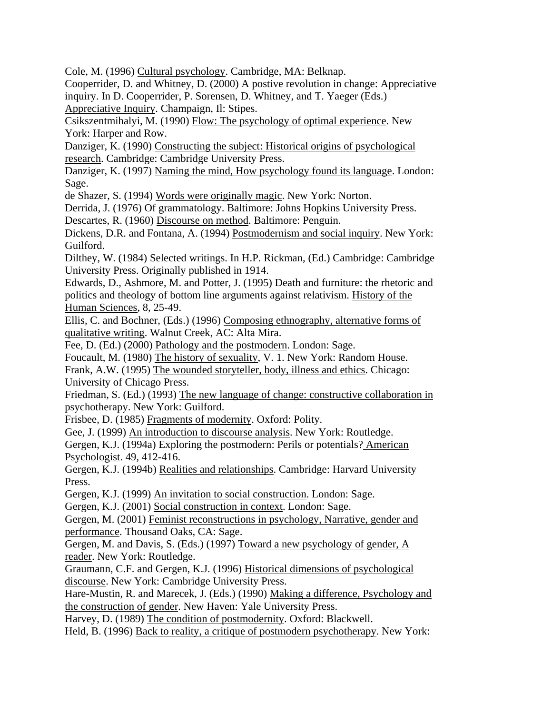Cole, M. (1996) Cultural psychology. Cambridge, MA: Belknap.

Cooperrider, D. and Whitney, D. (2000) A postive revolution in change: Appreciative inquiry. In D. Cooperrider, P. Sorensen, D. Whitney, and T. Yaeger (Eds.)

Appreciative Inquiry. Champaign, Il: Stipes.

Csikszentmihalyi, M. (1990) Flow: The psychology of optimal experience. New York: Harper and Row.

Danziger, K. (1990) Constructing the subject: Historical origins of psychological research. Cambridge: Cambridge University Press.

Danziger, K. (1997) Naming the mind, How psychology found its language. London: Sage.

de Shazer, S. (1994) Words were originally magic. New York: Norton.

Derrida, J. (1976) Of grammatology. Baltimore: Johns Hopkins University Press.

Descartes, R. (1960) Discourse on method. Baltimore: Penguin.

Dickens, D.R. and Fontana, A. (1994) Postmodernism and social inquiry. New York: Guilford.

Dilthey, W. (1984) Selected writings. In H.P. Rickman, (Ed.) Cambridge: Cambridge University Press. Originally published in 1914.

Edwards, D., Ashmore, M. and Potter, J. (1995) Death and furniture: the rhetoric and politics and theology of bottom line arguments against relativism. History of the Human Sciences, 8, 25-49.

Ellis, C. and Bochner, (Eds.) (1996) Composing ethnography, alternative forms of qualitative writing. Walnut Creek, AC: Alta Mira.

Fee, D. (Ed.) (2000) Pathology and the postmodern. London: Sage.

Foucault, M. (1980) The history of sexuality, V. 1. New York: Random House.

Frank, A.W. (1995) The wounded storyteller, body, illness and ethics. Chicago: University of Chicago Press.

Friedman, S. (Ed.) (1993) The new language of change: constructive collaboration in psychotherapy. New York: Guilford.

Frisbee, D. (1985) Fragments of modernity. Oxford: Polity.

Gee, J. (1999) An introduction to discourse analysis. New York: Routledge.

Gergen, K.J. (1994a) Exploring the postmodern: Perils or potentials? American Psychologist. 49, 412-416.

Gergen, K.J. (1994b) Realities and relationships. Cambridge: Harvard University Press.

Gergen, K.J. (1999) An invitation to social construction. London: Sage.

Gergen, K.J. (2001) Social construction in context. London: Sage.

Gergen, M. (2001) Feminist reconstructions in psychology, Narrative, gender and performance. Thousand Oaks, CA: Sage.

Gergen, M. and Davis, S. (Eds.) (1997) Toward a new psychology of gender, A reader. New York: Routledge.

Graumann, C.F. and Gergen, K.J. (1996) Historical dimensions of psychological discourse. New York: Cambridge University Press.

Hare-Mustin, R. and Marecek, J. (Eds.) (1990) Making a difference, Psychology and the construction of gender. New Haven: Yale University Press.

Harvey, D. (1989) The condition of postmodernity. Oxford: Blackwell.

Held, B. (1996) Back to reality, a critique of postmodern psychotherapy. New York: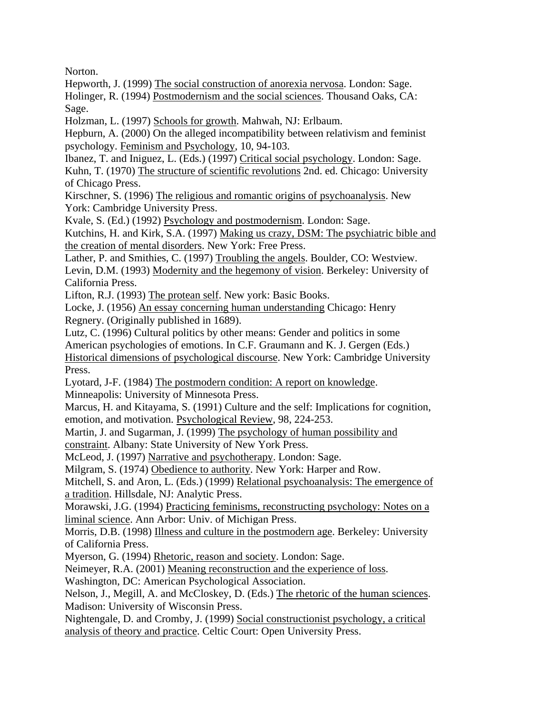Norton.

Hepworth, J. (1999) The social construction of anorexia nervosa. London: Sage.

Holinger, R. (1994) Postmodernism and the social sciences. Thousand Oaks, CA: Sage.

Holzman, L. (1997) Schools for growth. Mahwah, NJ: Erlbaum.

Hepburn, A. (2000) On the alleged incompatibility between relativism and feminist psychology. Feminism and Psychology, 10, 94-103.

Ibanez, T. and Iniguez, L. (Eds.) (1997) Critical social psychology. London: Sage. Kuhn, T. (1970) The structure of scientific revolutions 2nd. ed. Chicago: University of Chicago Press.

Kirschner, S. (1996) The religious and romantic origins of psychoanalysis. New York: Cambridge University Press.

Kvale, S. (Ed.) (1992) Psychology and postmodernism. London: Sage.

Kutchins, H. and Kirk, S.A. (1997) Making us crazy, DSM: The psychiatric bible and the creation of mental disorders. New York: Free Press.

Lather, P. and Smithies, C. (1997) Troubling the angels. Boulder, CO: Westview.

Levin, D.M. (1993) Modernity and the hegemony of vision. Berkeley: University of California Press.

Lifton, R.J. (1993) The protean self. New york: Basic Books.

Locke, J. (1956) An essay concerning human understanding Chicago: Henry Regnery. (Originally published in 1689).

Lutz, C. (1996) Cultural politics by other means: Gender and politics in some

American psychologies of emotions. In C.F. Graumann and K. J. Gergen (Eds.)

Historical dimensions of psychological discourse. New York: Cambridge University Press.

Lyotard, J-F. (1984) The postmodern condition: A report on knowledge. Minneapolis: University of Minnesota Press.

Marcus, H. and Kitayama, S. (1991) Culture and the self: Implications for cognition, emotion, and motivation. Psychological Review, 98, 224-253.

Martin, J. and Sugarman, J. (1999) The psychology of human possibility and

constraint. Albany: State University of New York Press.

McLeod, J. (1997) Narrative and psychotherapy. London: Sage.

Milgram, S. (1974) Obedience to authority. New York: Harper and Row.

Mitchell, S. and Aron, L. (Eds.) (1999) Relational psychoanalysis: The emergence of a tradition. Hillsdale, NJ: Analytic Press.

Morawski, J.G. (1994) Practicing feminisms, reconstructing psychology: Notes on a liminal science. Ann Arbor: Univ. of Michigan Press.

Morris, D.B. (1998) Illness and culture in the postmodern age. Berkeley: University of California Press.

Myerson, G. (1994) Rhetoric, reason and society. London: Sage.

Neimeyer, R.A. (2001) Meaning reconstruction and the experience of loss.

Washington, DC: American Psychological Association.

Nelson, J., Megill, A. and McCloskey, D. (Eds.) The rhetoric of the human sciences. Madison: University of Wisconsin Press.

Nightengale, D. and Cromby, J. (1999) Social constructionist psychology, a critical analysis of theory and practice. Celtic Court: Open University Press.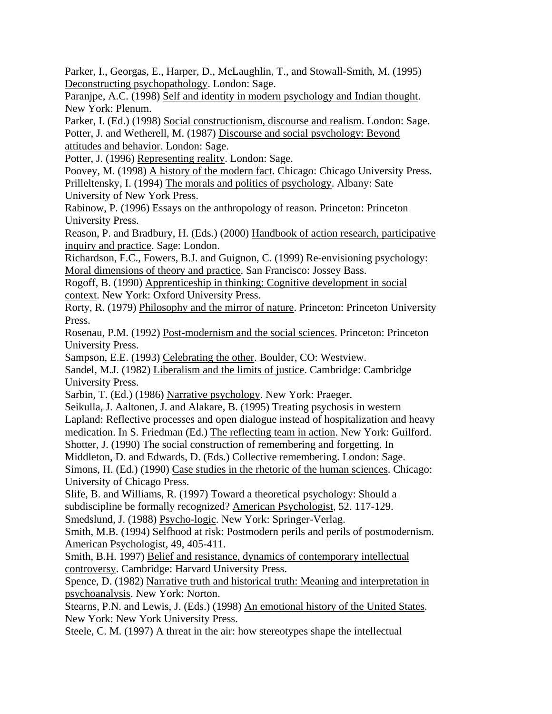Parker, I., Georgas, E., Harper, D., McLaughlin, T., and Stowall-Smith, M. (1995) Deconstructing psychopathology. London: Sage.

Paranjpe, A.C. (1998) Self and identity in modern psychology and Indian thought. New York: Plenum.

Parker, I. (Ed.) (1998) Social constructionism, discourse and realism. London: Sage. Potter, J. and Wetherell, M. (1987) Discourse and social psychology: Beyond attitudes and behavior. London: Sage.

Potter, J. (1996) Representing reality. London: Sage.

Poovey, M. (1998) A history of the modern fact. Chicago: Chicago University Press. Prilleltensky, I. (1994) The morals and politics of psychology. Albany: Sate University of New York Press.

Rabinow, P. (1996) Essays on the anthropology of reason. Princeton: Princeton University Press.

Reason, P. and Bradbury, H. (Eds.) (2000) Handbook of action research, participative inquiry and practice. Sage: London.

Richardson, F.C., Fowers, B.J. and Guignon, C. (1999) Re-envisioning psychology: Moral dimensions of theory and practice. San Francisco: Jossey Bass.

Rogoff, B. (1990) Apprenticeship in thinking: Cognitive development in social context. New York: Oxford University Press.

Rorty, R. (1979) Philosophy and the mirror of nature. Princeton: Princeton University Press.

Rosenau, P.M. (1992) Post-modernism and the social sciences. Princeton: Princeton University Press.

Sampson, E.E. (1993) Celebrating the other. Boulder, CO: Westview.

Sandel, M.J. (1982) Liberalism and the limits of justice. Cambridge: Cambridge University Press.

Sarbin, T. (Ed.) (1986) Narrative psychology. New York: Praeger.

Seikulla, J. Aaltonen, J. and Alakare, B. (1995) Treating psychosis in western Lapland: Reflective processes and open dialogue instead of hospitalization and heavy medication. In S. Friedman (Ed.) The reflecting team in action. New York: Guilford.

Shotter, J. (1990) The social construction of remembering and forgetting. In

Middleton, D. and Edwards, D. (Eds.) Collective remembering. London: Sage.

Simons, H. (Ed.) (1990) Case studies in the rhetoric of the human sciences. Chicago: University of Chicago Press.

Slife, B. and Williams, R. (1997) Toward a theoretical psychology: Should a subdiscipline be formally recognized? American Psychologist, 52. 117-129.

Smedslund, J. (1988) Psycho-logic. New York: Springer-Verlag.

Smith, M.B. (1994) Selfhood at risk: Postmodern perils and perils of postmodernism. American Psychologist, 49, 405-411.

Smith, B.H. 1997) Belief and resistance, dynamics of contemporary intellectual controversy. Cambridge: Harvard University Press.

Spence, D. (1982) Narrative truth and historical truth: Meaning and interpretation in psychoanalysis. New York: Norton.

Stearns, P.N. and Lewis, J. (Eds.) (1998) An emotional history of the United States. New York: New York University Press.

Steele, C. M. (1997) A threat in the air: how stereotypes shape the intellectual